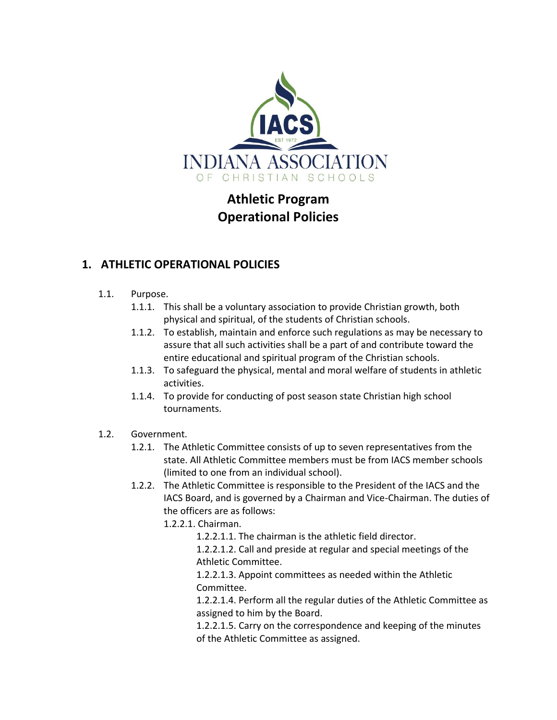

## **Athletic Program Operational Policies**

## **1. ATHLETIC OPERATIONAL POLICIES**

- 1.1. Purpose.
	- 1.1.1. This shall be a voluntary association to provide Christian growth, both physical and spiritual, of the students of Christian schools.
	- 1.1.2. To establish, maintain and enforce such regulations as may be necessary to assure that all such activities shall be a part of and contribute toward the entire educational and spiritual program of the Christian schools.
	- 1.1.3. To safeguard the physical, mental and moral welfare of students in athletic activities.
	- 1.1.4. To provide for conducting of post season state Christian high school tournaments.
- 1.2. Government.
	- 1.2.1. The Athletic Committee consists of up to seven representatives from the state. All Athletic Committee members must be from IACS member schools (limited to one from an individual school).
	- 1.2.2. The Athletic Committee is responsible to the President of the IACS and the IACS Board, and is governed by a Chairman and Vice-Chairman. The duties of the officers are as follows:

1.2.2.1. Chairman.

1.2.2.1.1. The chairman is the athletic field director.

1.2.2.1.2. Call and preside at regular and special meetings of the Athletic Committee.

1.2.2.1.3. Appoint committees as needed within the Athletic Committee.

1.2.2.1.4. Perform all the regular duties of the Athletic Committee as assigned to him by the Board.

1.2.2.1.5. Carry on the correspondence and keeping of the minutes of the Athletic Committee as assigned.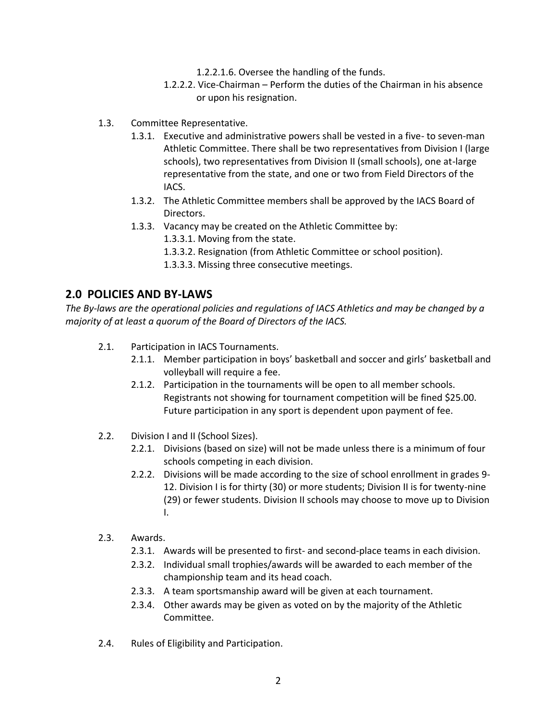- 1.2.2.1.6. Oversee the handling of the funds.
- 1.2.2.2. Vice-Chairman Perform the duties of the Chairman in his absence or upon his resignation.
- 1.3. Committee Representative.
	- 1.3.1. Executive and administrative powers shall be vested in a five- to seven-man Athletic Committee. There shall be two representatives from Division I (large schools), two representatives from Division II (small schools), one at-large representative from the state, and one or two from Field Directors of the IACS.
	- 1.3.2. The Athletic Committee members shall be approved by the IACS Board of Directors.
	- 1.3.3. Vacancy may be created on the Athletic Committee by:
		- 1.3.3.1. Moving from the state.
		- 1.3.3.2. Resignation (from Athletic Committee or school position).
		- 1.3.3.3. Missing three consecutive meetings.

## **2.0 POLICIES AND BY-LAWS**

*The By-laws are the operational policies and regulations of IACS Athletics and may be changed by a majority of at least a quorum of the Board of Directors of the IACS.*

- 2.1. Participation in IACS Tournaments.
	- 2.1.1. Member participation in boys' basketball and soccer and girls' basketball and volleyball will require a fee.
	- 2.1.2. Participation in the tournaments will be open to all member schools. Registrants not showing for tournament competition will be fined \$25.00. Future participation in any sport is dependent upon payment of fee.
- 2.2. Division I and II (School Sizes).
	- 2.2.1. Divisions (based on size) will not be made unless there is a minimum of four schools competing in each division.
	- 2.2.2. Divisions will be made according to the size of school enrollment in grades 9- 12. Division I is for thirty (30) or more students; Division II is for twenty-nine (29) or fewer students. Division II schools may choose to move up to Division I.
- 2.3. Awards.
	- 2.3.1. Awards will be presented to first- and second-place teams in each division.
	- 2.3.2. Individual small trophies/awards will be awarded to each member of the championship team and its head coach.
	- 2.3.3. A team sportsmanship award will be given at each tournament.
	- 2.3.4. Other awards may be given as voted on by the majority of the Athletic Committee.
- 2.4. Rules of Eligibility and Participation.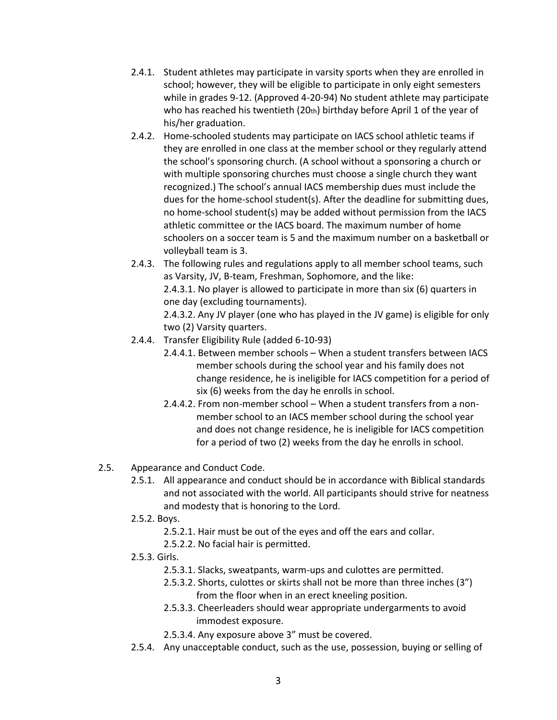- 2.4.1. Student athletes may participate in varsity sports when they are enrolled in school; however, they will be eligible to participate in only eight semesters while in grades 9-12. (Approved 4-20-94) No student athlete may participate who has reached his twentieth (20th) birthday before April 1 of the year of his/her graduation.
- 2.4.2. Home-schooled students may participate on IACS school athletic teams if they are enrolled in one class at the member school or they regularly attend the school's sponsoring church. (A school without a sponsoring a church or with multiple sponsoring churches must choose a single church they want recognized.) The school's annual IACS membership dues must include the dues for the home-school student(s). After the deadline for submitting dues, no home-school student(s) may be added without permission from the IACS athletic committee or the IACS board. The maximum number of home schoolers on a soccer team is 5 and the maximum number on a basketball or volleyball team is 3.
- 2.4.3. The following rules and regulations apply to all member school teams, such as Varsity, JV, B-team, Freshman, Sophomore, and the like: 2.4.3.1. No player is allowed to participate in more than six (6) quarters in one day (excluding tournaments).

2.4.3.2. Any JV player (one who has played in the JV game) is eligible for only two (2) Varsity quarters.

- 2.4.4. Transfer Eligibility Rule (added 6-10-93)
	- 2.4.4.1. Between member schools When a student transfers between IACS member schools during the school year and his family does not change residence, he is ineligible for IACS competition for a period of six (6) weeks from the day he enrolls in school.
	- 2.4.4.2. From non-member school When a student transfers from a nonmember school to an IACS member school during the school year and does not change residence, he is ineligible for IACS competition for a period of two (2) weeks from the day he enrolls in school.
- 2.5. Appearance and Conduct Code.
	- 2.5.1. All appearance and conduct should be in accordance with Biblical standards and not associated with the world. All participants should strive for neatness and modesty that is honoring to the Lord.
	- 2.5.2. Boys.
		- 2.5.2.1. Hair must be out of the eyes and off the ears and collar.
		- 2.5.2.2. No facial hair is permitted.
	- 2.5.3. Girls.
		- 2.5.3.1. Slacks, sweatpants, warm-ups and culottes are permitted.
		- 2.5.3.2. Shorts, culottes or skirts shall not be more than three inches (3") from the floor when in an erect kneeling position.
		- 2.5.3.3. Cheerleaders should wear appropriate undergarments to avoid immodest exposure.
		- 2.5.3.4. Any exposure above 3" must be covered.
	- 2.5.4. Any unacceptable conduct, such as the use, possession, buying or selling of